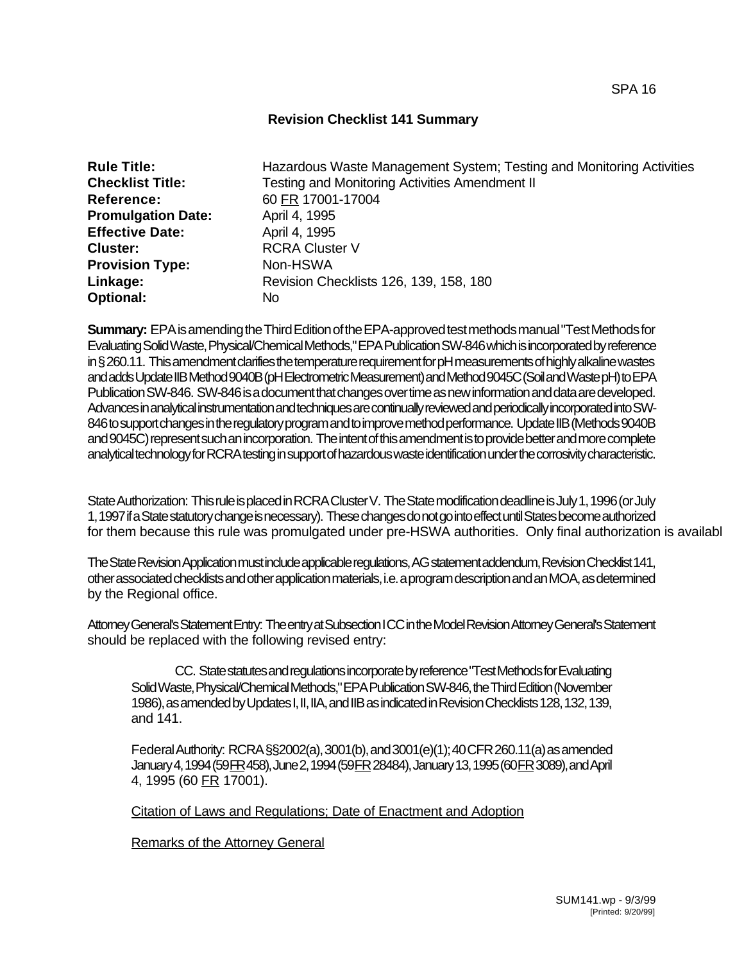## **Revision Checklist 141 Summary**

| <b>Rule Title:</b>        | Hazardous Waste Management System; Testing and Monitoring Activities |
|---------------------------|----------------------------------------------------------------------|
| <b>Checklist Title:</b>   | Testing and Monitoring Activities Amendment II                       |
| <b>Reference:</b>         | 60 FR 17001-17004                                                    |
| <b>Promulgation Date:</b> | April 4, 1995                                                        |
| <b>Effective Date:</b>    | April 4, 1995                                                        |
| <b>Cluster:</b>           | <b>RCRA Cluster V</b>                                                |
| <b>Provision Type:</b>    | Non-HSWA                                                             |
| Linkage:                  | Revision Checklists 126, 139, 158, 180                               |
| <b>Optional:</b>          | No                                                                   |

**Summary:** EPA is amending the Third Edition of the EPA-approved test methods manual "Test Methods for Evaluating Solid Waste, Physical/Chemical Methods," EPA Publication SW-846 which is incorporated by reference in § 260.11. This amendment clarifies the temperature requirement for pH measurements of highly alkaline wastes and adds Update IIB Method 9040B (pH Electrometric Measurement) and Method 9045C (Soil and Waste pH) to EPA Publication SW-846. SW-846 is a document that changes over time as new information and data are developed. Advances in analytical instrumentation and techniques are continually reviewed and periodically incorporated into SW-846 to support changes in the regulatory program and to improve method performance. Update IIB (Methods 9040B and 9045C) represent such an incorporation. The intent of this amendment is to provide better and more complete analytical technology for RCRA testing in support of hazardous waste identification under the corrosivity characteristic.

State Authorization: This rule is placed in RCRA Cluster V. The State modification deadline is July 1, 1996 (or July 1, 1997 if a State statutory change is necessary). These changes do not go into effect until States become authorized for them because this rule was promulgated under pre-HSWA authorities. Only final authorization is available

The State Revision Application must include applicable regulations, AG statement addendum, Revision Checklist 141, other associated checklists and other application materials, i.e. a program description and an MOA, as determined by the Regional office.

Attorney General's Statement Entry: The entry at Subsection I CC in the Model Revision Attorney General's Statement should be replaced with the following revised entry:

CC. State statutes and regulations incorporate by reference "Test Methods for Evaluating Solid Waste, Physical/Chemical Methods," EPA Publication SW-846, the Third Edition (November 1986), as amended by Updates I, II, IIA, and IIB as indicated in Revision Checklists 128, 132, 139, and 141.

Federal Authority: RCRA §§2002(a), 3001(b), and 3001(e)(1); 40 CFR 260.11(a) as amended January 4, 1994 (59 FR 458), June 2, 1994 (59 FR 28484), January 13, 1995 (60 FR 3089), and April 4, 1995 (60 FR 17001).

Citation of Laws and Regulations; Date of Enactment and Adoption

Remarks of the Attorney General